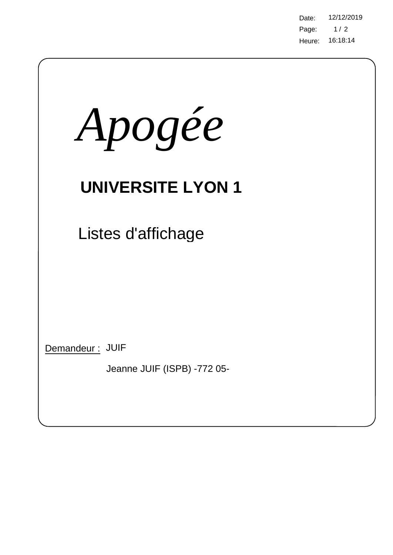Page: Heure: 16:18:14 Date: 12/12/2019  $1/2$ 

| Apogée                                         |
|------------------------------------------------|
| <b>UNIVERSITE LYON 1</b>                       |
| Listes d'affichage                             |
|                                                |
|                                                |
| Demandeur: JUIF<br>Jeanne JUIF (ISPB) -772 05- |